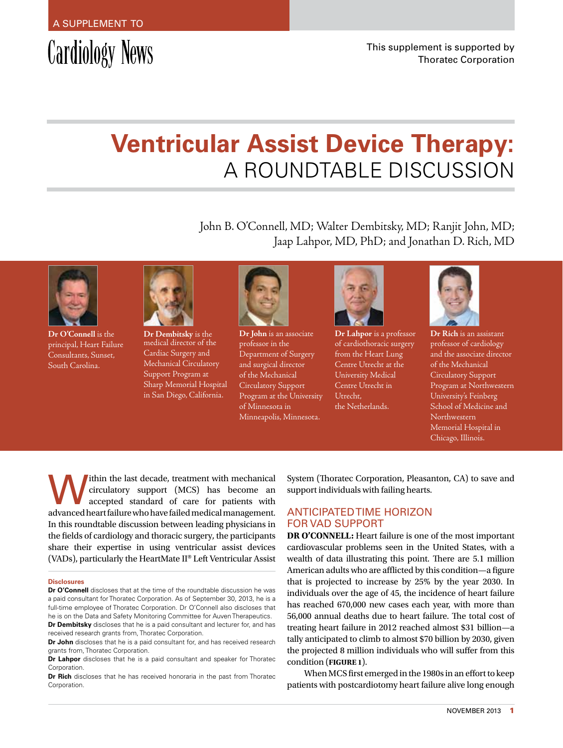# Cardiology News

# **Ventricular Assist Device Therapy:**  A Roundtable Discussion

John B. O'Connell, MD; Walter Dembitsky, MD; Ranjit John, MD; Jaap Lahpor, MD, PhD; and Jonathan D. Rich, MD



**Dr O'Connell** is the principal, Heart Failure Consultants, Sunset, South Carolina.



**Dr Dembitsky** is the medical director of the Cardiac Surgery and Mechanical Circulatory Support Program at Sharp Memorial Hospital in San Diego, California.



**Dr John** is an associate professor in the Department of Surgery and surgical director of the Mechanical Circulatory Support Program at the University of Minnesota in Minneapolis, Minnesota.



**Dr Lahpor** is a professor of cardiothoracic surgery from the Heart Lung Centre Utrecht at the University Medical Centre Utrecht in Utrecht, the Netherlands.



**Dr Rich** is an assistant professor of cardiology and the associate director of the Mechanical Circulatory Support Program at Northwestern University's Feinberg School of Medicine and Northwestern Memorial Hospital in Chicago, Illinois.

Within the last decade, treatment with mechanical circulatory support (MCS) has become an accepted standard of care for patients with circulatory support (MCS) has become an advanced heart failure who have failed medical management. In this roundtable discussion between leading physicians in the fields of cardiology and thoracic surgery, the participants share their expertise in using ventricular assist devices (VADs), particularly the HeartMate II® Left Ventricular Assist

#### **Disclosures**

**Dr O'Connell** discloses that at the time of the roundtable discussion he was a paid consultant for Thoratec Corporation. As of September 30, 2013, he is a full-time employee of Thoratec Corporation. Dr O'Connell also discloses that he is on the Data and Safety Monitoring Committee for Auven Therapeutics. **Dr Dembitsky** discloses that he is a paid consultant and lecturer for, and has

received research grants from, Thoratec Corporation. **Dr John** discloses that he is a paid consultant for, and has received research

grants from, Thoratec Corporation.

**Dr Lahpor** discloses that he is a paid consultant and speaker for Thoratec Corporation.

**Dr Rich** discloses that he has received honoraria in the past from Thoratec Corporation.

System (Thoratec Corporation, Pleasanton, CA) to save and support individuals with failing hearts.

# ANTICIPATED TIME HORIZON FOR VAD SUPPORT

**DR O'CONNELL:** Heart failure is one of the most important cardiovascular problems seen in the United States, with a wealth of data illustrating this point. There are 5.1 million American adults who are afflicted by this condition—a figure that is projected to increase by 25% by the year 2030. In individuals over the age of 45, the incidence of heart failure has reached 670,000 new cases each year, with more than 56,000 annual deaths due to heart failure. The total cost of treating heart failure in 2012 reached almost \$31 billion—a tally anticipated to climb to almost \$70 billion by 2030, given the projected 8 million individuals who will suffer from this condition (**Figure 1**).

When MCS first emerged in the 1980s in an effort to keep patients with postcardiotomy heart failure alive long enough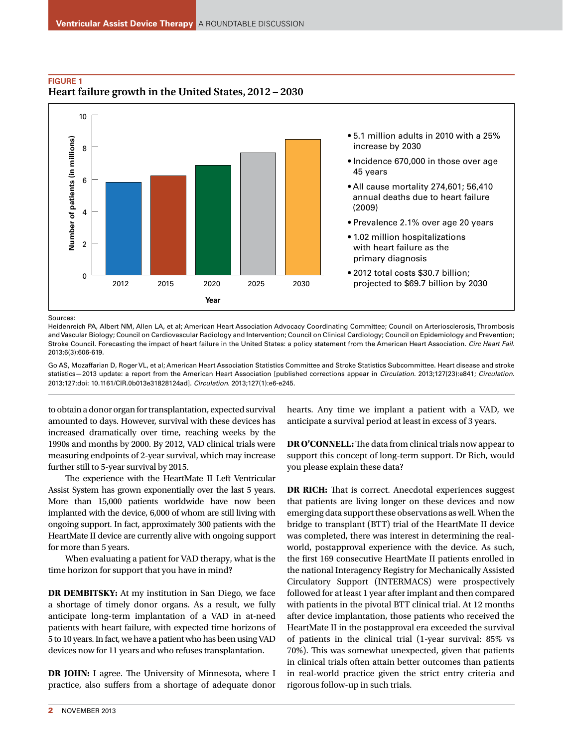

## **Figure 1 Heart failure growth in the United States, 2012 – 2030**

Sources:

Heidenreich PA, Albert NM, Allen LA, et al; American Heart Association Advocacy Coordinating Committee; Council on Arteriosclerosis, Thrombosis and Vascular Biology; Council on Cardiovascular Radiology and Intervention; Council on Clinical Cardiology; Council on Epidemiology and Prevention; Stroke Council. Forecasting the impact of heart failure in the United States: a policy statement from the American Heart Association. *Circ Heart Fail.* 2013;6(3):606-619.

Go AS, Mozaffarian D, Roger VL, et al; American Heart Association Statistics Committee and Stroke Statistics Subcommittee. Heart disease and stroke statistics—2013 update: a report from the American Heart Association [published corrections appear in *Circulation*. 2013;127(23):e841; *Circulation*. 2013;127:doi: 10.1161/CIR.0b013e31828124ad]. *Circulation*. 2013;127(1):e6-e245.

to obtain a donor organ for transplantation, expected survival amounted to days. However, survival with these devices has increased dramatically over time, reaching weeks by the 1990s and months by 2000. By 2012, VAD clinical trials were measuring endpoints of 2-year survival, which may increase further still to 5-year survival by 2015.

The experience with the HeartMate II Left Ventricular Assist System has grown exponentially over the last 5 years. More than 15,000 patients worldwide have now been implanted with the device, 6,000 of whom are still living with ongoing support. In fact, approximately 300 patients with the HeartMate II device are currently alive with ongoing support for more than 5 years.

When evaluating a patient for VAD therapy, what is the time horizon for support that you have in mind?

**DR DEMBITSKY:** At my institution in San Diego, we face a shortage of timely donor organs. As a result, we fully anticipate long-term implantation of a VAD in at-need patients with heart failure, with expected time horizons of 5 to 10 years. In fact, we have a patient who has been using VAD devices now for 11 years and who refuses transplantation.

**DR JOHN:** I agree. The University of Minnesota, where I practice, also suffers from a shortage of adequate donor

hearts. Any time we implant a patient with a VAD, we anticipate a survival period at least in excess of 3 years.

**DR O'CONNELL:** The data from clinical trials now appear to support this concept of long-term support. Dr Rich, would you please explain these data?

**DR RICH:** That is correct. Anecdotal experiences suggest that patients are living longer on these devices and now emerging data support these observations as well. When the bridge to transplant (BTT) trial of the HeartMate II device was completed, there was interest in determining the realworld, postapproval experience with the device. As such, the first 169 consecutive HeartMate II patients enrolled in the national Interagency Registry for Mechanically Assisted Circulatory Support (INTERMACS) were prospectively followed for at least 1 year after implant and then compared with patients in the pivotal BTT clinical trial. At 12 months after device implantation, those patients who received the HeartMate II in the postapproval era exceeded the survival of patients in the clinical trial (1-year survival: 85% vs 70%). This was somewhat unexpected, given that patients in clinical trials often attain better outcomes than patients in real-world practice given the strict entry criteria and rigorous follow-up in such trials.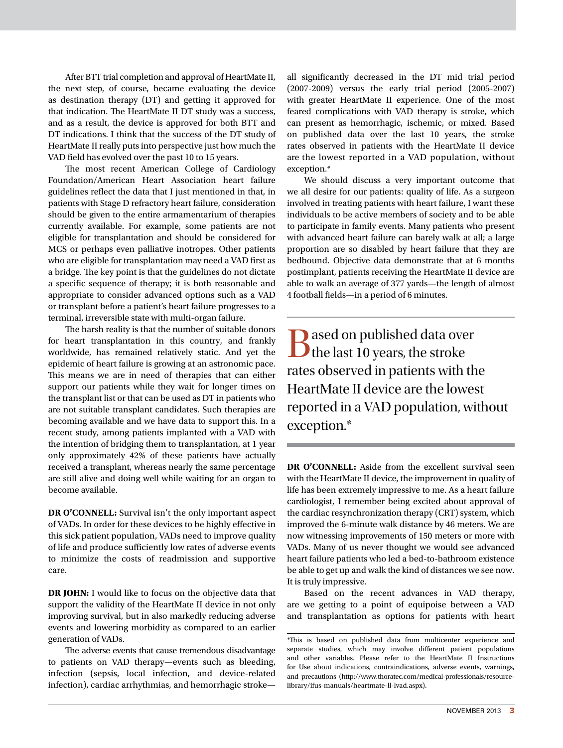After BTT trial completion and approval of HeartMate II, the next step, of course, became evaluating the device as destination therapy (DT) and getting it approved for that indication. The HeartMate II DT study was a success, and as a result, the device is approved for both BTT and DT indications. I think that the success of the DT study of HeartMate II really puts into perspective just how much the VAD field has evolved over the past 10 to 15 years.

The most recent American College of Cardiology Foundation/American Heart Association heart failure guidelines reflect the data that I just mentioned in that, in patients with Stage D refractory heart failure, consideration should be given to the entire armamentarium of therapies currently available. For example, some patients are not eligible for transplantation and should be considered for MCS or perhaps even palliative inotropes. Other patients who are eligible for transplantation may need a VAD first as a bridge. The key point is that the guidelines do not dictate a specific sequence of therapy; it is both reasonable and appropriate to consider advanced options such as a VAD or transplant before a patient's heart failure progresses to a terminal, irreversible state with multi-organ failure.

The harsh reality is that the number of suitable donors for heart transplantation in this country, and frankly worldwide, has remained relatively static. And yet the epidemic of heart failure is growing at an astronomic pace. This means we are in need of therapies that can either support our patients while they wait for longer times on the transplant list or that can be used as DT in patients who are not suitable transplant candidates. Such therapies are becoming available and we have data to support this. In a recent study, among patients implanted with a VAD with the intention of bridging them to transplantation, at 1 year only approximately 42% of these patients have actually received a transplant, whereas nearly the same percentage are still alive and doing well while waiting for an organ to become available.

**DR O'CONNELL:** Survival isn't the only important aspect of VADs. In order for these devices to be highly effective in this sick patient population, VADs need to improve quality of life and produce sufficiently low rates of adverse events to minimize the costs of readmission and supportive care.

**DR JOHN:** I would like to focus on the objective data that support the validity of the HeartMate II device in not only improving survival, but in also markedly reducing adverse events and lowering morbidity as compared to an earlier generation of VADs.

The adverse events that cause tremendous disadvantage to patients on VAD therapy—events such as bleeding, infection (sepsis, local infection, and device-related infection), cardiac arrhythmias, and hemorrhagic strokeall significantly decreased in the DT mid trial period (2007-2009) versus the early trial period (2005-2007) with greater HeartMate II experience. One of the most feared complications with VAD therapy is stroke, which can present as hemorrhagic, ischemic, or mixed. Based on published data over the last 10 years, the stroke rates observed in patients with the HeartMate II device are the lowest reported in a VAD population, without exception.\*

We should discuss a very important outcome that we all desire for our patients: quality of life. As a surgeon involved in treating patients with heart failure, I want these individuals to be active members of society and to be able to participate in family events. Many patients who present with advanced heart failure can barely walk at all; a large proportion are so disabled by heart failure that they are bedbound. Objective data demonstrate that at 6 months postimplant, patients receiving the HeartMate II device are able to walk an average of 377 yards—the length of almost 4 football fields—in a period of 6 minutes.

**Q** ased on published data over D the last 10 years, the stroke rates observed in patients with the HeartMate II device are the lowest reported in a VAD population, without exception.\*

**DR O'CONNELL:** Aside from the excellent survival seen with the HeartMate II device, the improvement in quality of life has been extremely impressive to me. As a heart failure cardiologist, I remember being excited about approval of the cardiac resynchronization therapy (CRT) system, which improved the 6-minute walk distance by 46 meters. We are now witnessing improvements of 150 meters or more with VADs. Many of us never thought we would see advanced heart failure patients who led a bed-to-bathroom existence be able to get up and walk the kind of distances we see now. It is truly impressive.

Based on the recent advances in VAD therapy, are we getting to a point of equipoise between a VAD and transplantation as options for patients with heart

<sup>\*</sup>This is based on published data from multicenter experience and separate studies, which may involve different patient populations and other variables. Please refer to the HeartMate II Instructions for Use about indications, contraindications, adverse events, warnings, and precautions (http://www.thoratec.com/medical-professionals/resourcelibrary/ifus-manuals/heartmate-ll-lvad.aspx).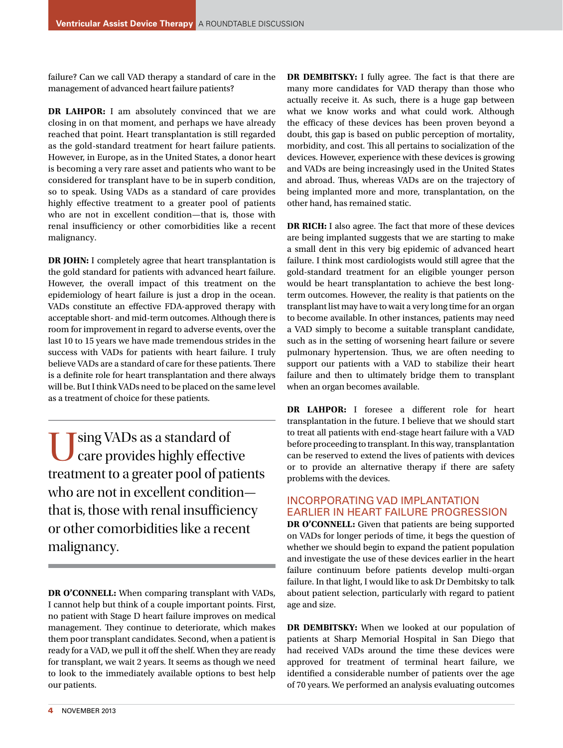failure? Can we call VAD therapy a standard of care in the management of advanced heart failure patients?

**DR LAHPOR:** I am absolutely convinced that we are closing in on that moment, and perhaps we have already reached that point. Heart transplantation is still regarded as the gold-standard treatment for heart failure patients. However, in Europe, as in the United States, a donor heart is becoming a very rare asset and patients who want to be considered for transplant have to be in superb condition, so to speak. Using VADs as a standard of care provides highly effective treatment to a greater pool of patients who are not in excellent condition—that is, those with renal insufficiency or other comorbidities like a recent malignancy.

**DR JOHN:** I completely agree that heart transplantation is the gold standard for patients with advanced heart failure. However, the overall impact of this treatment on the epidemiology of heart failure is just a drop in the ocean. VADs constitute an effective FDA-approved therapy with acceptable short- and mid-term outcomes. Although there is room for improvement in regard to adverse events, over the last 10 to 15 years we have made tremendous strides in the success with VADs for patients with heart failure. I truly believe VADs are a standard of care for these patients. There is a definite role for heart transplantation and there always will be. But I think VADs need to be placed on the same level as a treatment of choice for these patients.

Using VADs as a standard of care provides highly effective treatment to a greater pool of patients who are not in excellent condition that is, those with renal insufficiency or other comorbidities like a recent malignancy.

**DR O'CONNELL:** When comparing transplant with VADs, I cannot help but think of a couple important points. First, no patient with Stage D heart failure improves on medical management. They continue to deteriorate, which makes them poor transplant candidates. Second, when a patient is ready for a VAD, we pull it off the shelf. When they are ready for transplant, we wait 2 years. It seems as though we need to look to the immediately available options to best help our patients.

**DR DEMBITSKY:** I fully agree. The fact is that there are many more candidates for VAD therapy than those who actually receive it. As such, there is a huge gap between what we know works and what could work. Although the efficacy of these devices has been proven beyond a doubt, this gap is based on public perception of mortality, morbidity, and cost. This all pertains to socialization of the devices. However, experience with these devices is growing and VADs are being increasingly used in the United States and abroad. Thus, whereas VADs are on the trajectory of being implanted more and more, transplantation, on the other hand, has remained static.

**DR RICH:** I also agree. The fact that more of these devices are being implanted suggests that we are starting to make a small dent in this very big epidemic of advanced heart failure. I think most cardiologists would still agree that the gold-standard treatment for an eligible younger person would be heart transplantation to achieve the best longterm outcomes. However, the reality is that patients on the transplant list may have to wait a very long time for an organ to become available. In other instances, patients may need a VAD simply to become a suitable transplant candidate, such as in the setting of worsening heart failure or severe pulmonary hypertension. Thus, we are often needing to support our patients with a VAD to stabilize their heart failure and then to ultimately bridge them to transplant when an organ becomes available.

**DR LAHPOR:** I foresee a different role for heart transplantation in the future. I believe that we should start to treat all patients with end-stage heart failure with a VAD before proceeding to transplant. In this way, transplantation can be reserved to extend the lives of patients with devices or to provide an alternative therapy if there are safety problems with the devices.

# INCORPORATING VAD IMPLANTATION EARLIER IN HEART FAILURE PROGRESSION

**DR O'CONNELL:** Given that patients are being supported on VADs for longer periods of time, it begs the question of whether we should begin to expand the patient population and investigate the use of these devices earlier in the heart failure continuum before patients develop multi-organ failure. In that light, I would like to ask Dr Dembitsky to talk about patient selection, particularly with regard to patient age and size.

**DR DEMBITSKY:** When we looked at our population of patients at Sharp Memorial Hospital in San Diego that had received VADs around the time these devices were approved for treatment of terminal heart failure, we identified a considerable number of patients over the age of 70 years. We performed an analysis evaluating outcomes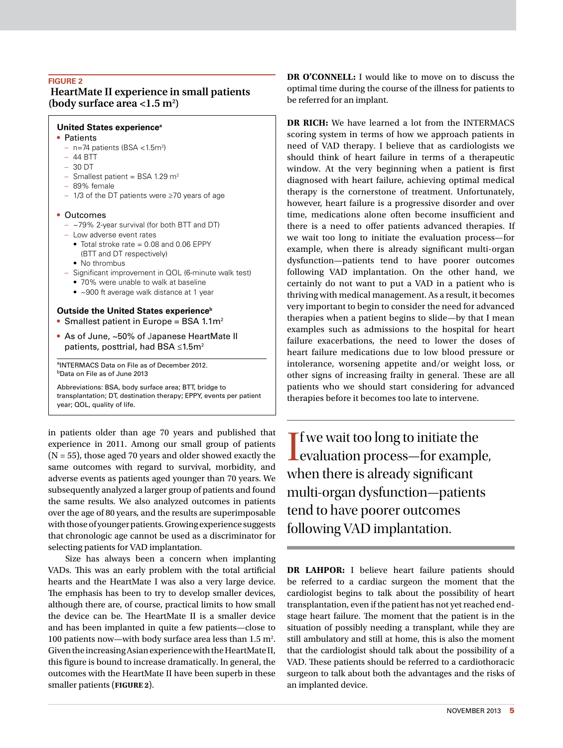### **Figure 2**

# **HeartMate II experience in small patients (body surface area <1.5 m2 )**

#### **United States experience<sup>a</sup>**

#### • Patients

- n=74 patients (BSA <1.5m2 )
- 44 BTT
- 30 DT
- $-$  Smallest patient = BSA 1.29 m<sup>2</sup>
- 89% female
- 1/3 of the DT patients were ≥70 years of age

#### • Outcomes

- ~79% 2-year survival (for both BTT and DT)
- Low adverse event rates
	- Total stroke rate = 0.08 and 0.06 EPPY (BTT and DT respectively)
	- No thrombus
- 
- Significant improvement in QOL (6-minute walk test)
	- 70% were unable to walk at baseline • ~900 ft average walk distance at 1 year
- 

# **Outside the United States experience**<sup>b</sup>

- Smallest patient in Europe = BSA 1.1 $m<sup>2</sup>$
- As of June, ~50% of Japanese HeartMate II patients, posttrial, had BSA ≤1.5m<sup>2</sup>

aINTERMACS Data on File as of December 2012. **b**Data on File as of June 2013

Abbreviations: BSA, body surface area; BTT, bridge to transplantation; DT, destination therapy; EPPY, events per patient year; QOL, quality of life.

in patients older than age 70 years and published that experience in 2011. Among our small group of patients  $(N = 55)$ , those aged 70 years and older showed exactly the same outcomes with regard to survival, morbidity, and adverse events as patients aged younger than 70 years. We subsequently analyzed a larger group of patients and found the same results. We also analyzed outcomes in patients over the age of 80 years, and the results are superimposable with those of younger patients. Growing experience suggests that chronologic age cannot be used as a discriminator for selecting patients for VAD implantation.

Size has always been a concern when implanting VADs. This was an early problem with the total artificial hearts and the HeartMate I was also a very large device. The emphasis has been to try to develop smaller devices, although there are, of course, practical limits to how small the device can be. The HeartMate II is a smaller device and has been implanted in quite a few patients—close to 100 patients now—with body surface area less than  $1.5 \text{ m}^2$ . Given the increasing Asian experience with the HeartMate II, this figure is bound to increase dramatically. In general, the outcomes with the HeartMate II have been superb in these smaller patients (**Figure 2**).

**DR O'CONNELL:** I would like to move on to discuss the optimal time during the course of the illness for patients to be referred for an implant.

**DR RICH:** We have learned a lot from the INTERMACS scoring system in terms of how we approach patients in need of VAD therapy. I believe that as cardiologists we should think of heart failure in terms of a therapeutic window. At the very beginning when a patient is first diagnosed with heart failure, achieving optimal medical therapy is the cornerstone of treatment. Unfortunately, however, heart failure is a progressive disorder and over time, medications alone often become insufficient and there is a need to offer patients advanced therapies. If we wait too long to initiate the evaluation process—for example, when there is already significant multi-organ dysfunction—patients tend to have poorer outcomes following VAD implantation. On the other hand, we certainly do not want to put a VAD in a patient who is thriving with medical management. As a result, it becomes very important to begin to consider the need for advanced therapies when a patient begins to slide—by that I mean examples such as admissions to the hospital for heart failure exacerbations, the need to lower the doses of heart failure medications due to low blood pressure or intolerance, worsening appetite and/or weight loss, or other signs of increasing frailty in general. These are all patients who we should start considering for advanced therapies before it becomes too late to intervene.

If we wait too long to initiate the<br>evaluation process—for example,  $\mathbf{\mathsf{T}}$  f we wait too long to initiate the when there is already significant multi-organ dysfunction—patients tend to have poorer outcomes following VAD implantation.

**DR LAHPOR:** I believe heart failure patients should be referred to a cardiac surgeon the moment that the cardiologist begins to talk about the possibility of heart transplantation, even if the patient has not yet reached endstage heart failure. The moment that the patient is in the situation of possibly needing a transplant, while they are still ambulatory and still at home, this is also the moment that the cardiologist should talk about the possibility of a VAD. These patients should be referred to a cardiothoracic surgeon to talk about both the advantages and the risks of an implanted device.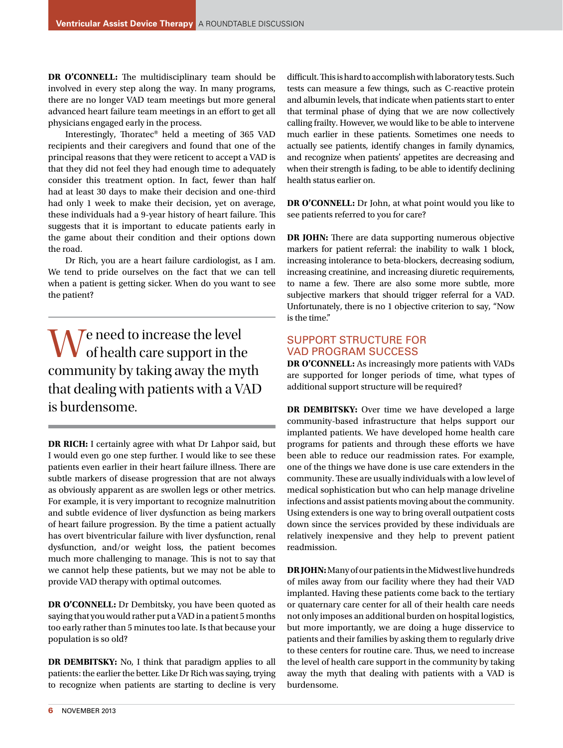**DR O'CONNELL:** The multidisciplinary team should be involved in every step along the way. In many programs, there are no longer VAD team meetings but more general advanced heart failure team meetings in an effort to get all physicians engaged early in the process.

Interestingly, Thoratec® held a meeting of 365 VAD recipients and their caregivers and found that one of the principal reasons that they were reticent to accept a VAD is that they did not feel they had enough time to adequately consider this treatment option. In fact, fewer than half had at least 30 days to make their decision and one-third had only 1 week to make their decision, yet on average, these individuals had a 9-year history of heart failure. This suggests that it is important to educate patients early in the game about their condition and their options down the road.

Dr Rich, you are a heart failure cardiologist, as I am. We tend to pride ourselves on the fact that we can tell when a patient is getting sicker. When do you want to see the patient?

We need to increase the level<br>of health care support in the community by taking away the myth that dealing with patients with a VAD is burdensome.

**DR RICH:** I certainly agree with what Dr Lahpor said, but I would even go one step further. I would like to see these patients even earlier in their heart failure illness. There are subtle markers of disease progression that are not always as obviously apparent as are swollen legs or other metrics. For example, it is very important to recognize malnutrition and subtle evidence of liver dysfunction as being markers of heart failure progression. By the time a patient actually has overt biventricular failure with liver dysfunction, renal dysfunction, and/or weight loss, the patient becomes much more challenging to manage. This is not to say that we cannot help these patients, but we may not be able to provide VAD therapy with optimal outcomes.

**DR O'CONNELL:** Dr Dembitsky, you have been quoted as saying that you would rather put a VAD in a patient 5 months too early rather than 5 minutes too late. Is that because your population is so old?

**DR DEMBITSKY:** No, I think that paradigm applies to all patients: the earlier the better. Like Dr Rich was saying, trying to recognize when patients are starting to decline is very difficult. This is hard to accomplish with laboratory tests. Such tests can measure a few things, such as C-reactive protein and albumin levels, that indicate when patients start to enter that terminal phase of dying that we are now collectively calling frailty. However, we would like to be able to intervene much earlier in these patients. Sometimes one needs to actually see patients, identify changes in family dynamics, and recognize when patients' appetites are decreasing and when their strength is fading, to be able to identify declining health status earlier on.

**DR O'CONNELL:** Dr John, at what point would you like to see patients referred to you for care?

**DR JOHN:** There are data supporting numerous objective markers for patient referral: the inability to walk 1 block, increasing intolerance to beta-blockers, decreasing sodium, increasing creatinine, and increasing diuretic requirements, to name a few. There are also some more subtle, more subjective markers that should trigger referral for a VAD. Unfortunately, there is no 1 objective criterion to say, "Now is the time."

# SUPPORT STRUCTURE FOR VAD PROGRAM SUCCESS

**DR O'CONNELL:** As increasingly more patients with VADs are supported for longer periods of time, what types of additional support structure will be required?

**DR DEMBITSKY:** Over time we have developed a large community-based infrastructure that helps support our implanted patients. We have developed home health care programs for patients and through these efforts we have been able to reduce our readmission rates. For example, one of the things we have done is use care extenders in the community. These are usually individuals with a low level of medical sophistication but who can help manage driveline infections and assist patients moving about the community. Using extenders is one way to bring overall outpatient costs down since the services provided by these individuals are relatively inexpensive and they help to prevent patient readmission.

**DR JOHN:** Many of our patients in the Midwest live hundreds of miles away from our facility where they had their VAD implanted. Having these patients come back to the tertiary or quaternary care center for all of their health care needs not only imposes an additional burden on hospital logistics, but more importantly, we are doing a huge disservice to patients and their families by asking them to regularly drive to these centers for routine care. Thus, we need to increase the level of health care support in the community by taking away the myth that dealing with patients with a VAD is burdensome.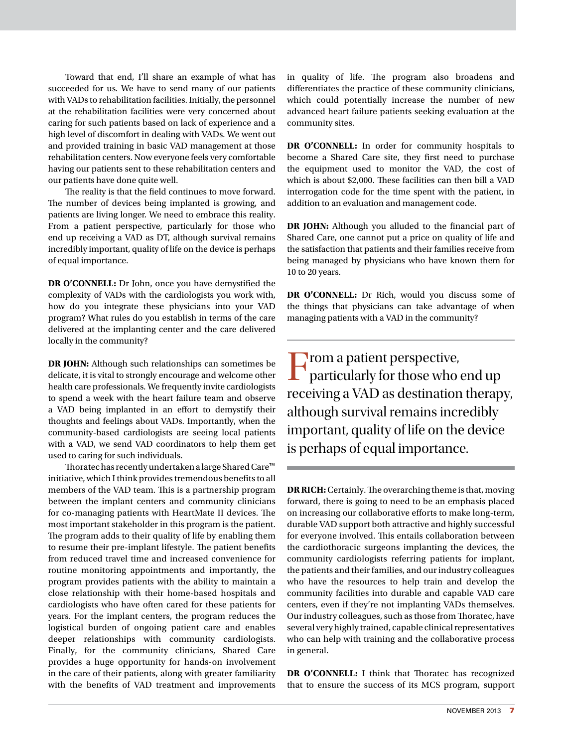Toward that end, I'll share an example of what has succeeded for us. We have to send many of our patients with VADs to rehabilitation facilities. Initially, the personnel at the rehabilitation facilities were very concerned about caring for such patients based on lack of experience and a high level of discomfort in dealing with VADs. We went out and provided training in basic VAD management at those rehabilitation centers. Now everyone feels very comfortable having our patients sent to these rehabilitation centers and our patients have done quite well.

The reality is that the field continues to move forward. The number of devices being implanted is growing, and patients are living longer. We need to embrace this reality. From a patient perspective, particularly for those who end up receiving a VAD as DT, although survival remains incredibly important, quality of life on the device is perhaps of equal importance.

**DR O'CONNELL:** Dr John, once you have demystified the complexity of VADs with the cardiologists you work with, how do you integrate these physicians into your VAD program? What rules do you establish in terms of the care delivered at the implanting center and the care delivered locally in the community?

**DR JOHN:** Although such relationships can sometimes be delicate, it is vital to strongly encourage and welcome other health care professionals. We frequently invite cardiologists to spend a week with the heart failure team and observe a VAD being implanted in an effort to demystify their thoughts and feelings about VADs. Importantly, when the community-based cardiologists are seeing local patients with a VAD, we send VAD coordinators to help them get used to caring for such individuals.

Thoratec has recently undertaken a large Shared Care™ initiative, which I think provides tremendous benefits to all members of the VAD team. This is a partnership program between the implant centers and community clinicians for co-managing patients with HeartMate II devices. The most important stakeholder in this program is the patient. The program adds to their quality of life by enabling them to resume their pre-implant lifestyle. The patient benefits from reduced travel time and increased convenience for routine monitoring appointments and importantly, the program provides patients with the ability to maintain a close relationship with their home-based hospitals and cardiologists who have often cared for these patients for years. For the implant centers, the program reduces the logistical burden of ongoing patient care and enables deeper relationships with community cardiologists. Finally, for the community clinicians, Shared Care provides a huge opportunity for hands-on involvement in the care of their patients, along with greater familiarity with the benefits of VAD treatment and improvements in quality of life. The program also broadens and differentiates the practice of these community clinicians, which could potentially increase the number of new advanced heart failure patients seeking evaluation at the community sites.

**DR O'CONNELL:** In order for community hospitals to become a Shared Care site, they first need to purchase the equipment used to monitor the VAD, the cost of which is about \$2,000. These facilities can then bill a VAD interrogation code for the time spent with the patient, in addition to an evaluation and management code.

**DR JOHN:** Although you alluded to the financial part of Shared Care, one cannot put a price on quality of life and the satisfaction that patients and their families receive from being managed by physicians who have known them for 10 to 20 years.

**DR O'CONNELL:** Dr Rich, would you discuss some of the things that physicians can take advantage of when managing patients with a VAD in the community?

From a patient perspective, particularly for those who end up receiving a VAD as destination therapy, although survival remains incredibly important, quality of life on the device is perhaps of equal importance.

**DR RICH:** Certainly. The overarching theme is that, moving forward, there is going to need to be an emphasis placed on increasing our collaborative efforts to make long-term, durable VAD support both attractive and highly successful for everyone involved. This entails collaboration between the cardiothoracic surgeons implanting the devices, the community cardiologists referring patients for implant, the patients and their families, and our industry colleagues who have the resources to help train and develop the community facilities into durable and capable VAD care centers, even if they're not implanting VADs themselves. Our industry colleagues, such as those from Thoratec, have several very highly trained, capable clinical representatives who can help with training and the collaborative process in general.

**DR O'CONNELL:** I think that Thoratec has recognized that to ensure the success of its MCS program, support